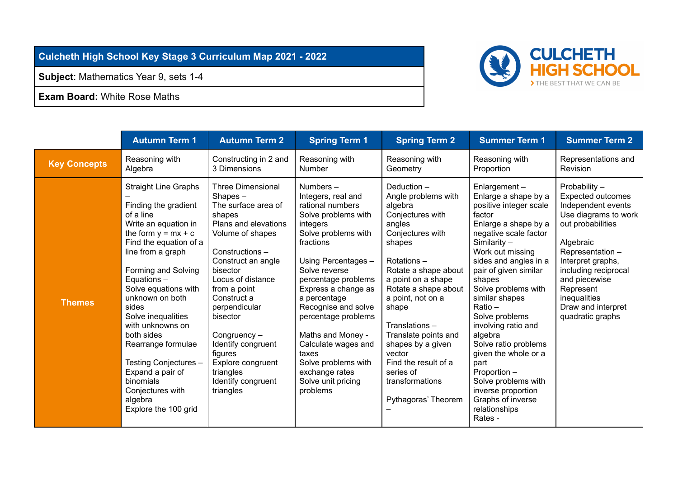## **Culcheth High School Key Stage 3 Curriculum Map 2021 - 2022**

**Subject**: Mathematics Year 9, sets 1-4

**Exam Board:** White Rose Maths



|                     | <b>Autumn Term 1</b>                                                                                                                                                                                                                                                                                                                                                                                                                                     | <b>Autumn Term 2</b>                                                                                                                                                                                                                                                                                                                                                           | <b>Spring Term 1</b>                                                                                                                                                                                                                                                                                                                                                                                             | <b>Spring Term 2</b>                                                                                                                                                                                                                                                                                                                                                              | <b>Summer Term 1</b>                                                                                                                                                                                                                                                                                                                                                                                                                                                                                      | <b>Summer Term 2</b>                                                                                                                                                                                                                                                              |
|---------------------|----------------------------------------------------------------------------------------------------------------------------------------------------------------------------------------------------------------------------------------------------------------------------------------------------------------------------------------------------------------------------------------------------------------------------------------------------------|--------------------------------------------------------------------------------------------------------------------------------------------------------------------------------------------------------------------------------------------------------------------------------------------------------------------------------------------------------------------------------|------------------------------------------------------------------------------------------------------------------------------------------------------------------------------------------------------------------------------------------------------------------------------------------------------------------------------------------------------------------------------------------------------------------|-----------------------------------------------------------------------------------------------------------------------------------------------------------------------------------------------------------------------------------------------------------------------------------------------------------------------------------------------------------------------------------|-----------------------------------------------------------------------------------------------------------------------------------------------------------------------------------------------------------------------------------------------------------------------------------------------------------------------------------------------------------------------------------------------------------------------------------------------------------------------------------------------------------|-----------------------------------------------------------------------------------------------------------------------------------------------------------------------------------------------------------------------------------------------------------------------------------|
| <b>Key Concepts</b> | Reasoning with<br>Algebra                                                                                                                                                                                                                                                                                                                                                                                                                                | Constructing in 2 and<br>3 Dimensions                                                                                                                                                                                                                                                                                                                                          | Reasoning with<br>Number                                                                                                                                                                                                                                                                                                                                                                                         | Reasoning with<br>Geometry                                                                                                                                                                                                                                                                                                                                                        | Reasoning with<br>Proportion                                                                                                                                                                                                                                                                                                                                                                                                                                                                              | Representations and<br>Revision                                                                                                                                                                                                                                                   |
| <b>Themes</b>       | <b>Straight Line Graphs</b><br>Finding the gradient<br>of a line<br>Write an equation in<br>the form $y = mx + c$<br>Find the equation of a<br>line from a graph<br>Forming and Solving<br>Equations-<br>Solve equations with<br>unknown on both<br>sides<br>Solve inequalities<br>with unknowns on<br>both sides<br>Rearrange formulae<br>Testing Conjectures -<br>Expand a pair of<br>binomials<br>Conjectures with<br>algebra<br>Explore the 100 grid | <b>Three Dimensional</b><br>$Shapes -$<br>The surface area of<br>shapes<br>Plans and elevations<br>Volume of shapes<br>Constructions -<br>Construct an angle<br>bisector<br>Locus of distance<br>from a point<br>Construct a<br>perpendicular<br>bisector<br>Congruency-<br>Identify congruent<br>figures<br>Explore congruent<br>triangles<br>Identify congruent<br>triangles | Numbers $-$<br>Integers, real and<br>rational numbers<br>Solve problems with<br>integers<br>Solve problems with<br>fractions<br>Using Percentages -<br>Solve reverse<br>percentage problems<br>Express a change as<br>a percentage<br>Recognise and solve<br>percentage problems<br>Maths and Money -<br>Calculate wages and<br>taxes<br>Solve problems with<br>exchange rates<br>Solve unit pricing<br>problems | Deduction-<br>Angle problems with<br>algebra<br>Conjectures with<br>angles<br>Conjectures with<br>shapes<br>Rotations-<br>Rotate a shape about<br>a point on a shape<br>Rotate a shape about<br>a point, not on a<br>shape<br>Translations-<br>Translate points and<br>shapes by a given<br>vector<br>Find the result of a<br>series of<br>transformations<br>Pythagoras' Theorem | Enlargement-<br>Enlarge a shape by a<br>positive integer scale<br>factor<br>Enlarge a shape by a<br>negative scale factor<br>Similarity $-$<br>Work out missing<br>sides and angles in a<br>pair of given similar<br>shapes<br>Solve problems with<br>similar shapes<br>Ratio -<br>Solve problems<br>involving ratio and<br>algebra<br>Solve ratio problems<br>given the whole or a<br>part<br>Proportion -<br>Solve problems with<br>inverse proportion<br>Graphs of inverse<br>relationships<br>Rates - | Probability -<br><b>Expected outcomes</b><br>Independent events<br>Use diagrams to work<br>out probabilities<br>Algebraic<br>Representation-<br>Interpret graphs,<br>including reciprocal<br>and piecewise<br>Represent<br>inequalities<br>Draw and interpret<br>quadratic graphs |